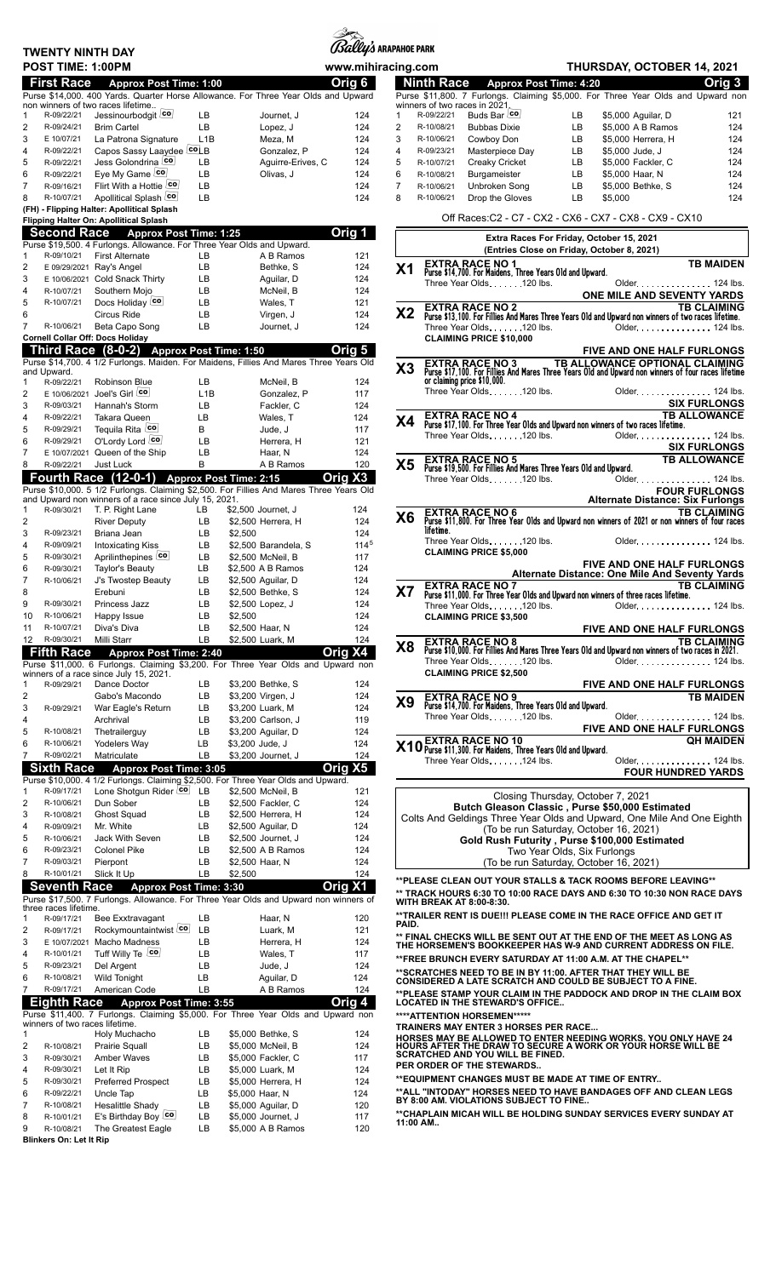|                     | TWENTY NINTH DAY         |                                                                                                                                                  |                  |                 |                                          | <i>(ISally's</i> arapahoe park |                     |                                                                                                                                                             |                   |
|---------------------|--------------------------|--------------------------------------------------------------------------------------------------------------------------------------------------|------------------|-----------------|------------------------------------------|--------------------------------|---------------------|-------------------------------------------------------------------------------------------------------------------------------------------------------------|-------------------|
|                     | POST TIME: 1:00PM        |                                                                                                                                                  |                  |                 |                                          | www.mihiracing.com             |                     | <b>THURSDAY, OCTOBER 14, 2021</b>                                                                                                                           |                   |
|                     | <b>First Race</b>        |                                                                                                                                                  |                  |                 |                                          | Orig 6                         |                     | <b>Ninth Race</b><br><b>Approx Post Time: 4:20</b>                                                                                                          | Orig <sub>3</sub> |
|                     |                          | <b>Approx Post Time: 1:00</b><br>Purse \$14,000. 400 Yards. Quarter Horse Allowance. For Three Year Olds and Upward                              |                  |                 |                                          |                                |                     | Purse \$11,800. 7 Furlongs. Claiming \$5,000. For Three Year Olds and Upward no                                                                             |                   |
|                     |                          | non winners of two races lifetime                                                                                                                |                  |                 |                                          |                                |                     | winners of two races in 2021.                                                                                                                               |                   |
| 1                   | R-09/22/21               | Jessinourbodgit co                                                                                                                               | LВ               |                 | Journet. J                               | 124                            | 1                   | Buds Bar co<br>R-09/22/21<br>LB<br>\$5,000 Aguilar, D                                                                                                       | 12                |
| $\overline{2}$      | R-09/24/21               | <b>Brim Cartel</b>                                                                                                                               | LB               |                 | Lopez, J                                 | 124                            | 2                   | LB<br>R-10/08/21<br><b>Bubbas Dixie</b><br>\$5,000 A B Ramos                                                                                                | 12                |
| 3                   | E 10/07/21               | La Patrona Signature                                                                                                                             | L <sub>1</sub> B |                 | Meza, M                                  | 124                            | 3                   | LB<br>Cowboy Don<br>\$5,000 Herrera, H<br>R-10/06/21                                                                                                        | 12                |
| $\overline{4}$      | R-09/22/21               | Capos Sassy Laaydee co B                                                                                                                         |                  |                 | Gonzalez, P                              | 124                            | 4                   | R-09/23/21<br>Masterpiece Day<br>LB<br>\$5,000 Jude, J                                                                                                      | 12                |
| 5                   | R-09/22/21               | Jess Golondrina co<br>Eye My Game co                                                                                                             | LВ               |                 | Aguirre-Erives, C                        | 124                            | 5                   | R-10/07/21<br>Creaky Cricket<br>LB<br>\$5,000 Fackler, C                                                                                                    | 12 <sub>5</sub>   |
| 6<br>$\overline{7}$ | R-09/22/21<br>R-09/16/21 | Flirt With a Hottie co                                                                                                                           | LВ<br>LB         |                 | Olivas, J                                | 124<br>124                     | 6<br>$\overline{7}$ | R-10/08/21<br>Burgameister<br>LВ<br>\$5,000 Haar, N<br>R-10/06/21<br>Unbroken Song<br>LВ<br>\$5,000 Bethke, S                                               | 12<br>12          |
| 8                   | R-10/07/21               | Apollitical Splash co                                                                                                                            | <b>LB</b>        |                 |                                          | 124                            | 8                   | Drop the Gloves<br>\$5,000<br>R-10/06/21<br>LB                                                                                                              | 12                |
|                     |                          | (FH) - Flipping Halter: Apollitical Splash                                                                                                       |                  |                 |                                          |                                |                     |                                                                                                                                                             |                   |
|                     |                          | Flipping Halter On: Apollitical Splash                                                                                                           |                  |                 |                                          |                                |                     | Off Races: C2 - C7 - CX2 - CX6 - CX7 - CX8 - CX9 - CX10                                                                                                     |                   |
|                     |                          | Second Race Approx Post Time: 1:25                                                                                                               |                  |                 |                                          | Orig 1                         |                     |                                                                                                                                                             |                   |
|                     |                          | Purse \$19,500. 4 Furlongs. Allowance. For Three Year Olds and Upward.                                                                           |                  |                 |                                          |                                |                     | Extra Races For Friday, October 15, 2021<br>(Entries Close on Friday, October 8, 2021)                                                                      |                   |
| 1                   | R-09/10/21               | <b>First Alternate</b>                                                                                                                           | LB.              |                 | A B Ramos                                | 121                            |                     | <b>EXTRA RACE NO 1</b>                                                                                                                                      | <b>TB MAIDE</b>   |
| 2                   |                          | E 09/29/2021 Ray's Angel                                                                                                                         | LB               |                 | Bethke, S                                | 124                            | X <sub>1</sub>      | Purse \$14,700. For Maidens, Three Years Old and Upward.                                                                                                    |                   |
| 3                   |                          | E 10/06/2021 Cold Snack Thirty                                                                                                                   | LВ               |                 | Aguilar, D                               | 124                            |                     | Three Year Olds120 lbs.<br>Older. 124 lb                                                                                                                    |                   |
| 4                   | R-10/07/21               | Southern Mojo                                                                                                                                    | LB               |                 | McNeil, B                                | 124                            |                     | ONE MILE AND SEVENTY YARD                                                                                                                                   |                   |
| 5                   | R-10/07/21               | Docs Holiday co<br><b>Circus Ride</b>                                                                                                            | LB               |                 | Wales, T                                 | 121                            | X2                  | <b>EXTRA RACE NO 2</b><br><b>TB CLAIMIN</b>                                                                                                                 |                   |
| 6<br>$\overline{7}$ | R-10/06/21               |                                                                                                                                                  | LB<br><b>LB</b>  |                 | Virgen, J                                | 124<br>124                     |                     | Purse \$13,100. For Fillies And Mares Three Years Old and Upward non winners of two races lifetime                                                          |                   |
|                     |                          | Beta Capo Song<br><b>Cornell Collar Off: Docs Holiday</b>                                                                                        |                  |                 | Journet, J                               |                                |                     | Three Year Olds120 lbs.<br>Older 124 lb<br><b>CLAIMING PRICE \$10,000</b>                                                                                   |                   |
|                     |                          | Third Race (8-0-2) Approx Post Time: 1:50                                                                                                        |                  |                 |                                          | Orig 5                         |                     | FIVE AND ONE HALF FURLONG                                                                                                                                   |                   |
|                     |                          | Purse \$14,700. 4 1/2 Furlongs. Maiden. For Maidens, Fillies And Mares Three Years Old                                                           |                  |                 |                                          |                                |                     |                                                                                                                                                             |                   |
|                     | and Upward.              |                                                                                                                                                  |                  |                 |                                          |                                | X3                  | <b>EXTRA RACE NO 3</b> TB ALLOWANCE OPTIONAL CLAIMIN<br>Purse \$17,100. For Fillies And Mares Three Years Old and Upward non winners of four races lifeting |                   |
| 1                   | R-09/22/21               | Robinson Blue                                                                                                                                    | LB               |                 | McNeil, B                                | 124                            |                     | or claiming price \$10,000.                                                                                                                                 |                   |
| $\boldsymbol{2}$    |                          | E 10/06/2021 Joel's Girl Co                                                                                                                      | L1B              |                 | Gonzalez, P                              | 117                            |                     | Older. 124 lb<br>Three Year Olds120 lbs.                                                                                                                    |                   |
| 3                   | R-09/03/21               | Hannah's Storm                                                                                                                                   | LB               |                 | Fackler, C                               | 124                            |                     | <b>SIX FURLONG</b>                                                                                                                                          |                   |
| $\overline{4}$      | R-09/22/21               | <b>Takara Queen</b>                                                                                                                              | LB.              |                 | Wales, T                                 | 124                            | X4                  | <b>TB ALLOWANC</b><br><b>EXTRA RACE NO 4</b><br>Purse \$17,100. For Three Year Olds and Upward non winners of two races lifetime.                           |                   |
| 5                   | R-09/29/21               | Tequila Rita co                                                                                                                                  | B                |                 | Jude, J                                  | 117                            |                     | Three Year Olds120 lbs.<br>Older 124 lb                                                                                                                     |                   |
| 6                   | R-09/29/21               | O'Lordy Lord co                                                                                                                                  | LB               |                 | Herrera, H                               | 121                            |                     | <b>SIX FURLONG</b>                                                                                                                                          |                   |
| $\boldsymbol{7}$    |                          | E 10/07/2021 Queen of the Ship                                                                                                                   | <b>LB</b>        |                 | Haar, N                                  | 124                            |                     | <b>TB ALLOWANC</b>                                                                                                                                          |                   |
| 8                   | R-09/22/21               | Just Luck                                                                                                                                        | B                |                 | A B Ramos                                | 120                            | X5                  | <b>EXTRA RACE NO 5</b><br>Purse \$19,500. For Fillies And Mares Three Years Old and Upward.                                                                 |                   |
|                     |                          | Fourth Race (12-0-1) Approx Post Time: 2:15                                                                                                      |                  |                 | Oria                                     | X3                             |                     | Three Year Olds120 lbs.<br>Older. 124 lb                                                                                                                    |                   |
|                     |                          | Purse \$10,000. 5 1/2 Furlongs. Claiming \$2,500. For Fillies And Mares Three Years Old<br>and Upward non winners of a race since July 15, 2021. |                  |                 |                                          |                                |                     | <b>FOUR FURLONG</b><br><b>Alternate Distance: Six Furlong</b>                                                                                               |                   |
| $\mathbf{1}$        | R-09/30/21               | T. P. Right Lane                                                                                                                                 | LB               |                 | \$2,500 Journet, J                       | 124                            |                     | <b>EXTRA RACE NO 6</b><br><b>TB CLAIMIN</b>                                                                                                                 |                   |
| $\sqrt{2}$          |                          | <b>River Deputy</b>                                                                                                                              | LB               |                 | \$2,500 Herrera, H                       | 124                            | X6                  | Purse \$11,800. For Three Year Olds and Upward non winners of 2021 or non winners of four rac                                                               |                   |
| 3                   | R-09/23/21               | Briana Jean                                                                                                                                      | LB.              | \$2,500         |                                          | 124                            |                     | lifetime.                                                                                                                                                   |                   |
| 4                   | R-09/09/21               | <b>Intoxicating Kiss</b>                                                                                                                         | LB               |                 | \$2,500 Barandela, S                     | 114 <sup>5</sup>               |                     | Older. 124 lb<br>Three Year Olds120 lbs.                                                                                                                    |                   |
| 5                   | R-09/30/21               | Aprilinthepines co                                                                                                                               | LB               |                 | \$2,500 McNeil, B                        | 117                            |                     | <b>CLAIMING PRICE \$5,000</b>                                                                                                                               |                   |
| 6                   | R-09/30/21               | Taylor's Beauty                                                                                                                                  | LB               |                 | \$2,500 A B Ramos                        | 124                            |                     | FIVE AND ONE HALF FURLONG<br>Alternate Distance: One Mile And Seventy Yard                                                                                  |                   |
| $\overline{7}$      | R-10/06/21               | J's Twostep Beauty                                                                                                                               | LB               |                 | \$2,500 Aguilar, D                       | 124                            |                     | <b>TB CLAIMIN</b>                                                                                                                                           |                   |
| 8                   |                          | Erebuni                                                                                                                                          | LB               |                 | \$2,500 Bethke, S                        | 124                            | X7                  | <b>EXTRA RACE NO 7</b><br>Purse \$11,000. For Three Year Olds and Upward non winners of three races lifetime.                                               |                   |
| 9                   | R-09/30/21               | Princess Jazz                                                                                                                                    | <b>LB</b>        |                 | \$2,500 Lopez, J                         | 124                            |                     | Three Year Olds120 lbs.<br>Older. 124 lb                                                                                                                    |                   |
| 10                  | R-10/06/21               | Happy Issue                                                                                                                                      | LB               | \$2,500         |                                          | 124                            |                     | <b>CLAIMING PRICE \$3,500</b>                                                                                                                               |                   |
| 11                  | R-10/07/21               | Diva's Diva                                                                                                                                      | LB               |                 | \$2,500 Haar, N                          | 124                            |                     | <b>FIVE AND ONE HALF FURLONG</b>                                                                                                                            |                   |
| 12 <sup>°</sup>     | R-09/30/21               | Milli Starr                                                                                                                                      | LВ               |                 | \$2,500 Luark, M                         | 124                            | X <sub>8</sub>      | <b>EXTRA RACE NO 8</b><br>Purse \$10,000. For Fillies And Mares Three Years Old and Upward non winners of two races in 2021.                                |                   |
|                     | <b>Fifth Race</b>        | <b>Approx Post Time: 2:40</b>                                                                                                                    |                  |                 | Oria                                     | <b>X4</b>                      |                     | Three Year Olds. 120 lbs.<br>Older. 124 lb                                                                                                                  |                   |
|                     |                          | Purse \$11,000. 6 Furlongs. Claiming \$3,200. For Three Year Olds and Upward non<br>winners of a race since July 15, 2021.                       |                  |                 |                                          |                                |                     | <b>CLAIMING PRICE \$2,500</b>                                                                                                                               |                   |
| $\mathbf 1$         | R-09/29/21               | Dance Doctor                                                                                                                                     | LВ               |                 | \$3.200 Bethke, S                        | 124                            |                     | <b>FIVE AND ONE HALF FURLONG</b>                                                                                                                            |                   |
| $\boldsymbol{2}$    |                          | Gabo's Macondo                                                                                                                                   | LВ               |                 | \$3,200 Virgen, J                        | 124                            |                     |                                                                                                                                                             | <b>TB MAIDE</b>   |
| 3                   | R-09/29/21               | War Eagle's Return                                                                                                                               | LВ               |                 | \$3,200 Luark, M                         | 124                            | X <sub>9</sub>      | <b>EXTRA RACE NO 9</b><br>Purse \$14,700. For Maidens, Three Years Old and Upward.                                                                          |                   |
| 4                   |                          | Archrival                                                                                                                                        | LВ               |                 | \$3,200 Carlson, J                       | 119                            |                     | Three Year Olds. 120 lbs.<br>Older. 124 lb                                                                                                                  |                   |
| 5                   | R-10/08/21               | Thetrailerguy                                                                                                                                    | LB               |                 | \$3,200 Aguilar, D                       | 124                            |                     | <b>FIVE AND ONE HALF FURLONG</b>                                                                                                                            |                   |
| 6                   | R-10/06/21               | Yodelers Way                                                                                                                                     | LB               | \$3,200 Jude, J |                                          | 124                            |                     | X10 FXTRA RACE NO 10<br>X10 Purse \$11,300. For Maidens, Three Years Old and Upward.                                                                        | <b>QH MAIDE</b>   |
| $\overline{7}$      | R-09/02/21               | Matriculate                                                                                                                                      | LB               |                 | \$3,200 Journet, J                       | 124                            |                     | Three Year Olds. 124 lbs.<br>Older. 124 lb                                                                                                                  |                   |
|                     | <b>Sixth Race</b>        | <b>Approx Post Time: 3:05</b>                                                                                                                    |                  |                 |                                          | Orig X5                        |                     | <b>FOUR HUNDRED YARD</b>                                                                                                                                    |                   |
|                     |                          | Purse \$10,000. 4 1/2 Furlongs. Claiming \$2,500. For Three Year Olds and Upward.                                                                |                  |                 |                                          |                                |                     |                                                                                                                                                             |                   |
| 1                   | R-09/17/21               | Lone Shotgun Rider Co LB                                                                                                                         |                  |                 | \$2,500 McNeil, B                        | 121                            |                     | Closing Thursday, October 7, 2021                                                                                                                           |                   |
| $\overline{2}$      | R-10/06/21               | Dun Sober                                                                                                                                        | LВ               |                 | \$2,500 Fackler, C                       | 124                            |                     | Butch Gleason Classic, Purse \$50,000 Estimated                                                                                                             |                   |
| 3<br>4              | R-10/08/21<br>R-09/09/21 | <b>Ghost Squad</b><br>Mr. White                                                                                                                  | LВ<br>LB         |                 | \$2,500 Herrera, H<br>\$2,500 Aguilar, D | 124<br>124                     |                     | Colts And Geldings Three Year Olds and Upward, One Mile And One Eight                                                                                       |                   |
| 5                   | R-10/06/21               | Jack With Seven                                                                                                                                  | LB               |                 | \$2,500 Journet, J                       | 124                            |                     | (To be run Saturday, October 16, 2021)                                                                                                                      |                   |
| 6                   | R-09/23/21               | <b>Colonel Pike</b>                                                                                                                              | LВ               |                 | \$2,500 A B Ramos                        | 124                            |                     | Gold Rush Futurity, Purse \$100,000 Estimated<br>Two Year Olds, Six Furlongs                                                                                |                   |
| 7                   | R-09/03/21               | Pierpont                                                                                                                                         | LВ               |                 | \$2,500 Haar, N                          | 124                            |                     | (To be run Saturday, October 16, 2021)                                                                                                                      |                   |
| 8                   | R-10/01/21               | Slick It Up                                                                                                                                      | LB               | \$2,500         |                                          | 124                            |                     |                                                                                                                                                             |                   |
|                     | <b>Seventh Race</b>      | <b>Approx Post Time: 3:30</b>                                                                                                                    |                  |                 |                                          | Orig X1                        |                     | **PLEASE CLEAN OUT YOUR STALLS & TACK ROOMS BEFORE LEAVING**                                                                                                |                   |
|                     |                          | Purse \$17,500. 7 Furlongs. Allowance. For Three Year Olds and Upward non winners of                                                             |                  |                 |                                          |                                |                     | ** TRACK HOURS 6:30 TO 10:00 RACE DAYS AND 6:30 TO 10:30 NON RACE DAY!<br><b>WITH BREAK AT 8:00-8:30.</b>                                                   |                   |
|                     | three races lifetime.    |                                                                                                                                                  |                  |                 |                                          |                                |                     |                                                                                                                                                             |                   |
| 1                   | R-09/17/21               | Bee Exxtravagant                                                                                                                                 | LВ               |                 | Haar, N                                  | 120                            | PAID.               | **TRAILER RENT IS DUE !!! PLEASE COME IN THE RACE OFFICE AND GET IT                                                                                         |                   |
| 2                   | R-09/17/21               | Rockymountaintwist co                                                                                                                            | <b>LB</b>        |                 | Luark, M                                 | 121                            |                     |                                                                                                                                                             |                   |
| 3                   | E 10/07/2021             | Macho Madness                                                                                                                                    | LВ               |                 | Herrera, H                               | 124                            |                     | ** FINAL CHECKS WILL BE SENT OUT AT THE END OF THE MEET AS LONG AS<br>THE HORSEMEN'S BOOKKEEPER HAS W-9 AND CURRENT ADDRESS ON FILE.                        |                   |
| 4                   | R-10/01/21               | Tuff Willy Te co                                                                                                                                 | LB               |                 | Wales, T                                 | 117                            |                     | **FREE BRUNCH EVERY SATURDAY AT 11:00 A.M. AT THE CHAPEL**                                                                                                  |                   |
| 5                   | R-09/23/21               | Del Argent                                                                                                                                       | LB               |                 | Jude, J                                  | 124                            |                     | **SCRATCHES NEED TO BE IN BY 11:00. AFTER THAT THEY WILL BE<br>CONSIDERED A LATE SCRATCH AND COULD BE SUBJECT TO A FINE.                                    |                   |
| 6<br>7              | R-10/08/21<br>R-09/17/21 | <b>Wild Tonight</b><br>American Code                                                                                                             | LB<br>LB         |                 | Aguilar, D<br>A B Ramos                  | 124<br>124                     |                     |                                                                                                                                                             |                   |
|                     | <b>Eighth Race</b>       |                                                                                                                                                  |                  |                 |                                          |                                |                     | **PLEASE STAMP YOUR CLAIM IN THE PADDOCK AND DROP IN THE CLAIM BO)                                                                                          |                   |
|                     |                          | <b>Approx Post Time: 3:55</b><br>Purse \$11,400. 7 Furlongs. Claiming \$5,000. For Three Year Olds and Upward non                                |                  |                 |                                          | Orig 4                         |                     | <b>LOCATED IN THE STEWARD'S OFFICE</b>                                                                                                                      |                   |
|                     |                          | winners of two races lifetime.                                                                                                                   |                  |                 |                                          |                                |                     | ****ATTENTION HORSEMEN*****<br><b>TRAINERS MAY ENTER 3 HORSES PER RACE</b>                                                                                  |                   |
| 1                   |                          | Holy Muchacho                                                                                                                                    | LВ               |                 | \$5,000 Bethke, S                        | 124                            |                     |                                                                                                                                                             |                   |
| 2                   | R-10/08/21               | <b>Prairie Squall</b>                                                                                                                            | LВ               |                 | \$5,000 McNeil, B                        | 124                            |                     | HORSES MAY BE ALLOWED TO ENTER NEEDING WORKS. YOU ONLY HAVE 24 HOURS AFTER THE DRAW TO SECURE A WORK OR YOUR HORSE WILL BE                                  |                   |
| 3                   | R-09/30/21               | <b>Amber Waves</b>                                                                                                                               | LВ               |                 | \$5,000 Fackler, C                       | 117                            |                     | SCRATCHED AND YOU WILL BE FINED.                                                                                                                            |                   |
| 4                   | R-09/30/21               | Let It Rip                                                                                                                                       | LB               |                 | \$5,000 Luark, M                         | 124                            |                     | PER ORDER OF THE STEWARDS                                                                                                                                   |                   |
| 5                   | R-09/30/21               | <b>Preferred Prospect</b>                                                                                                                        | LB               |                 | \$5,000 Herrera, H                       | 124                            |                     | **EQUIPMENT CHANGES MUST BE MADE AT TIME OF ENTRY                                                                                                           |                   |
| 6                   | R-09/22/21               | Uncle Tap                                                                                                                                        | LВ               | \$5,000 Haar, N |                                          | 124                            |                     | **ALL "INTODAY" HORSES NEED TO HAVE BANDAGES OFF AND CLEAN LEGS<br>BY 8:00 AM. VIOLATIONS SUBJECT TO FINE                                                   |                   |
| 7                   | R-10/08/21               | <b>Hesalittle Shady</b>                                                                                                                          | LВ               |                 | \$5,000 Aguilar, D                       | 120                            |                     | **CHAPLAIN MICAH WILL BE HOLDING SUNDAY SERVICES EVERY SUNDAY AT                                                                                            |                   |
| 8                   | R-10/01/21               | E's Birthday Boy Co                                                                                                                              | LB               |                 | \$5,000 Journet, J                       | 117                            | 11:00 AM            |                                                                                                                                                             |                   |
| 9                   | R-10/08/21               | The Greatest Eagle                                                                                                                               | LB               |                 | \$5,000 A B Ramos                        | 120                            |                     |                                                                                                                                                             |                   |

**Blinkers On: Let It Rip**

|                     | :ing.com                                                                                                         |                                                                                           | THURSDAY, OCTOBER 14, 2021                                                                                                                   |  |  |  |  |  |  |  |
|---------------------|------------------------------------------------------------------------------------------------------------------|-------------------------------------------------------------------------------------------|----------------------------------------------------------------------------------------------------------------------------------------------|--|--|--|--|--|--|--|
|                     |                                                                                                                  | Ninth Race Approx Post Time: 4:20                                                         | Orig <sub>3</sub>                                                                                                                            |  |  |  |  |  |  |  |
|                     |                                                                                                                  |                                                                                           | Purse \$11,800. 7 Furlongs. Claiming \$5,000. For Three Year Olds and Upward non                                                             |  |  |  |  |  |  |  |
| 1                   | R-09/22/21                                                                                                       | winners of two races in 2021.<br>Buds Bar co                                              | LB.<br>\$5,000 Aguilar, D<br>121                                                                                                             |  |  |  |  |  |  |  |
| $\overline{2}$      | R-10/08/21                                                                                                       | <b>Bubbas Dixie</b>                                                                       | LB.<br>\$5,000 A B Ramos<br>124                                                                                                              |  |  |  |  |  |  |  |
| 3                   | R-10/06/21                                                                                                       | Cowboy Don                                                                                | LB<br>\$5,000 Herrera, H<br>124                                                                                                              |  |  |  |  |  |  |  |
| 4                   | R-09/23/21                                                                                                       | Masterpiece Day                                                                           | LB<br>\$5,000 Jude, J<br>124                                                                                                                 |  |  |  |  |  |  |  |
| 5                   | R-10/07/21                                                                                                       | Creaky Cricket                                                                            | \$5,000 Fackler, C<br>LB<br>124                                                                                                              |  |  |  |  |  |  |  |
| 6<br>$\overline{7}$ | R-10/08/21<br>R-10/06/21                                                                                         | Burgameister                                                                              | \$5,000 Haar, N<br>124<br>LB<br>\$5,000 Bethke, S<br>124<br>LB                                                                               |  |  |  |  |  |  |  |
| 8                   | R-10/06/21                                                                                                       | Unbroken Song<br>Drop the Gloves                                                          | LB<br>\$5,000<br>124                                                                                                                         |  |  |  |  |  |  |  |
|                     |                                                                                                                  |                                                                                           |                                                                                                                                              |  |  |  |  |  |  |  |
|                     | Off Races: C2 - C7 - CX2 - CX6 - CX7 - CX8 - CX9 - CX10<br>Extra Races For Friday, October 15, 2021              |                                                                                           |                                                                                                                                              |  |  |  |  |  |  |  |
|                     |                                                                                                                  |                                                                                           | (Entries Close on Friday, October 8, 2021)                                                                                                   |  |  |  |  |  |  |  |
| Χ1                  |                                                                                                                  | <b>EXTRA RACE NO 1</b><br>Purse \$14,700. For Maidens, Three Years Old and Upward.        | <b>TB MAIDEN</b><br>Older. 124 lbs.                                                                                                          |  |  |  |  |  |  |  |
|                     |                                                                                                                  |                                                                                           |                                                                                                                                              |  |  |  |  |  |  |  |
| X <sub>2</sub>      |                                                                                                                  |                                                                                           | EXTRA RACE NO 2<br>Purse \$13,100. For Fillies And Mares Three Years Old and Upward non winners of two races lifetime.<br><b>TB CLAIMING</b> |  |  |  |  |  |  |  |
|                     |                                                                                                                  | Three Year Olds120 lbs.                                                                   | Older 124 lbs.                                                                                                                               |  |  |  |  |  |  |  |
|                     |                                                                                                                  | <b>CLAIMING PRICE \$10,000</b>                                                            |                                                                                                                                              |  |  |  |  |  |  |  |
|                     |                                                                                                                  |                                                                                           | <b>FIVE AND ONE HALF FURLONGS</b>                                                                                                            |  |  |  |  |  |  |  |
| Х3                  |                                                                                                                  | EXTRA RACE NO 3                                                                           | TB ALLOWANCE OPTIONAL CLAIMING<br>Purse \$17,100. For Fillies And Mares Three Years Old and Upward non winners of four races lifetime        |  |  |  |  |  |  |  |
|                     |                                                                                                                  | or claiming price \$10,000.                                                               |                                                                                                                                              |  |  |  |  |  |  |  |
|                     |                                                                                                                  | Three Year Olds120 lbs.                                                                   | Older. 124 lbs.                                                                                                                              |  |  |  |  |  |  |  |
|                     |                                                                                                                  | <b>EXTRA RACE NO 4</b>                                                                    | <b>SIX FURLONGS</b><br><u> 1980 - Johann Barnett, fransk politik (</u><br><b>TB ALLOWANCE</b>                                                |  |  |  |  |  |  |  |
| Χ4                  |                                                                                                                  |                                                                                           | Purse \$17,100. For Three Year Olds and Upward non winners of two races lifetime.                                                            |  |  |  |  |  |  |  |
|                     |                                                                                                                  |                                                                                           |                                                                                                                                              |  |  |  |  |  |  |  |
|                     |                                                                                                                  |                                                                                           |                                                                                                                                              |  |  |  |  |  |  |  |
| <b>X5</b>           |                                                                                                                  |                                                                                           | <b>EXTRA RACE NO 5</b><br>Purse \$19,500. For Fillies And Mares Three Years Old and Upward.<br><b>TB ALLOWANCE</b>                           |  |  |  |  |  |  |  |
|                     |                                                                                                                  |                                                                                           | Three Year Olds. 120 lbs. Colder. 124 lbs.                                                                                                   |  |  |  |  |  |  |  |
|                     |                                                                                                                  |                                                                                           | <b>FOUR FURLONGS</b><br><b>Alternate Distance: Six Furlongs</b>                                                                              |  |  |  |  |  |  |  |
|                     |                                                                                                                  | <b>EXTRA RACE NO 6</b>                                                                    | <b>TB CLAIMING</b>                                                                                                                           |  |  |  |  |  |  |  |
| X6                  | lifetime.                                                                                                        |                                                                                           | Purse \$11,800. For Three Year Olds and Upward non winners of 2021 or non winners of four races                                              |  |  |  |  |  |  |  |
|                     |                                                                                                                  | Three Year Olds. 120 lbs.                                                                 | Older. 124 lbs.                                                                                                                              |  |  |  |  |  |  |  |
|                     |                                                                                                                  | <b>CLAIMING PRICE \$5,000</b>                                                             |                                                                                                                                              |  |  |  |  |  |  |  |
|                     |                                                                                                                  |                                                                                           | <b>FIVE AND ONE HALF FURLONGS</b><br>Alternate Distance: One Mile And Seventy Yards                                                          |  |  |  |  |  |  |  |
|                     |                                                                                                                  | <b>EXTRA RACE NO 7</b>                                                                    | <b>TB CLAIMING</b>                                                                                                                           |  |  |  |  |  |  |  |
| X7                  |                                                                                                                  |                                                                                           | Purse \$11,000. For Three Year Olds and Upward non winners of three races lifetime.                                                          |  |  |  |  |  |  |  |
|                     |                                                                                                                  | Three Year Olds. 120 lbs.<br><b>CLAIMING PRICE \$3,500</b>                                | Older. 124 lbs.                                                                                                                              |  |  |  |  |  |  |  |
|                     |                                                                                                                  |                                                                                           | FIVE AND ONE HALF FURLONGS                                                                                                                   |  |  |  |  |  |  |  |
|                     |                                                                                                                  | <b>EXTRA RACE NO 8</b>                                                                    | <b>TB CLAIMING</b>                                                                                                                           |  |  |  |  |  |  |  |
| Х8                  |                                                                                                                  | Three Year Olds120 lbs.                                                                   | Purse \$10,000. For Fillies And Mares Three Years Old and Upward non winners of two races in 2021.<br>Older. 124 lbs.                        |  |  |  |  |  |  |  |
|                     |                                                                                                                  | <b>CLAIMING PRICE \$2,500</b>                                                             |                                                                                                                                              |  |  |  |  |  |  |  |
|                     |                                                                                                                  |                                                                                           | <b>FIVE AND ONE HALF FURLONGS</b>                                                                                                            |  |  |  |  |  |  |  |
| Χ9                  |                                                                                                                  | <b>EXTRA RACE NO 9</b>                                                                    | <b>TB MAIDEN</b>                                                                                                                             |  |  |  |  |  |  |  |
|                     |                                                                                                                  | Purse \$14,700. For Maidens, Three Years Old and Upward.<br>Three Year Olds. 120 lbs.     | Older. 124 lbs.                                                                                                                              |  |  |  |  |  |  |  |
|                     |                                                                                                                  |                                                                                           | <b>FIVE AND ONE HALF FURLONGS</b>                                                                                                            |  |  |  |  |  |  |  |
|                     |                                                                                                                  | <b>EXTRA RACE NO 10</b>                                                                   | QH MAIDEN                                                                                                                                    |  |  |  |  |  |  |  |
|                     |                                                                                                                  | X10 Purse \$11,300. For Maidens, Three Years Old and Upward.<br>Three Year Olds. 124 lbs. |                                                                                                                                              |  |  |  |  |  |  |  |
|                     |                                                                                                                  |                                                                                           | Older. 124 lbs.<br><b>FOUR HUNDRED YARDS</b>                                                                                                 |  |  |  |  |  |  |  |
|                     |                                                                                                                  |                                                                                           |                                                                                                                                              |  |  |  |  |  |  |  |
|                     |                                                                                                                  |                                                                                           | Closing Thursday, October 7, 2021                                                                                                            |  |  |  |  |  |  |  |
|                     |                                                                                                                  |                                                                                           | Butch Gleason Classic, Purse \$50,000 Estimated                                                                                              |  |  |  |  |  |  |  |
|                     | Colts And Geldings Three Year Olds and Upward, One Mile And One Eighth<br>(To be run Saturday, October 16, 2021) |                                                                                           |                                                                                                                                              |  |  |  |  |  |  |  |
|                     |                                                                                                                  |                                                                                           | Gold Rush Futurity, Purse \$100,000 Estimated                                                                                                |  |  |  |  |  |  |  |
|                     |                                                                                                                  |                                                                                           | Two Year Olds, Six Furlongs                                                                                                                  |  |  |  |  |  |  |  |
|                     |                                                                                                                  |                                                                                           | (To be run Saturday, October 16, 2021)                                                                                                       |  |  |  |  |  |  |  |